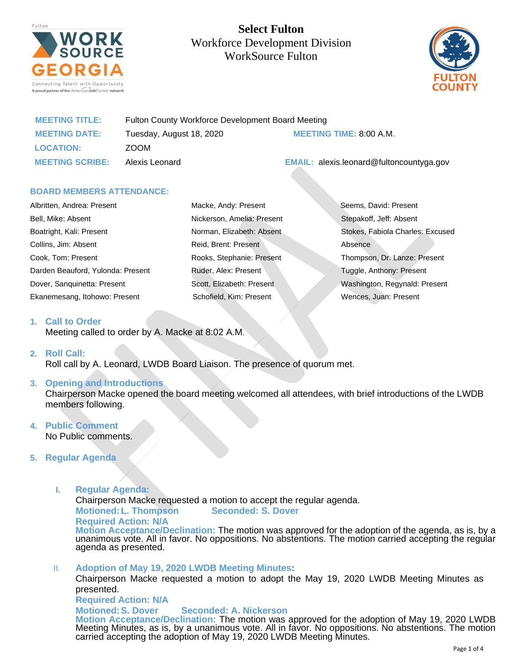

**Select Fulton**  Workforce Development Division WorkSource Fulton



| <b>MEETING TITLE:</b>  | Fulton County Workforce Development Board Meeting |                                                 |
|------------------------|---------------------------------------------------|-------------------------------------------------|
| <b>MEETING DATE:</b>   | Tuesday, August 18, 2020                          | <b>MEETING TIME: 8:00 A.M.</b>                  |
| <b>LOCATION:</b>       | ZOOM                                              |                                                 |
| <b>MEETING SCRIBE:</b> | Alexis Leonard                                    | <b>EMAIL:</b> alexis.leonard@fultoncountyga.gov |

#### **BOARD MEMBERS ATTENDANCE:**

| Albritten, Andrea: Present        | Macke, Andy: Present       | Seems, David: Present            |
|-----------------------------------|----------------------------|----------------------------------|
| Bell, Mike: Absent                | Nickerson, Amelia: Present | Stepakoff, Jeff: Absent          |
| Boatright, Kali: Present          | Norman, Elizabeth: Absent  | Stokes, Fabiola Charles: Excused |
| Collins, Jim: Absent              | Reid, Brent: Present       | Absence                          |
| Cook, Tom: Present                | Rooks, Stephanie: Present  | Thompson, Dr. Lanze: Present     |
| Darden Beauford, Yulonda: Present | Ruder, Alex: Present       | Tuggle, Anthony: Present         |
| Dover, Sanguinetta: Present       | Scott, Elizabeth: Present  | Washington, Regynald: Present    |
| Ekanemesang, Itohowo: Present     | Schofield, Kim: Present    | Wences, Juan: Present            |

#### **1. Call to Order**

Meeting called to order by A. Macke at 8:02 A.M.

#### **2. Roll Call:**

Roll call by A. Leonard, LWDB Board Liaison. The presence of quorum met.

## **3. Opening and Introductions**

Chairperson Macke opened the board meeting welcomed all attendees, with brief introductions of the LWDB members following.

#### **4. Public Comment** No Public comments.

# **5. Regular Agenda**

**I. Regular Agenda:**

Chairperson Macke requested a motion to accept the regular agenda.

**Motioned:L. Thompson Seconded: S. Dover Required Action: N/A**

**Motion Acceptance/Declination:** The motion was approved for the adoption of the agenda, as is, by a unanimous vote. All in favor. No oppositions. No abstentions. The motion carried accepting the regular agenda as presented.

II. **Adoption of May 19, 2020 LWDB Meeting Minutes:** Chairperson Macke requested a motion to adopt the May 19, 2020 LWDB Meeting Minutes as presented. **Required Action: N/A Motioned:S. Dover Seconded: A. Nickerson Motion Acceptance/Declination:** The motion was approved for the adoption of May 19, 2020 LWDB Meeting Minutes, as is, by a unanimous vote. All in favor. No oppositions. No abstentions. The motion carried accepting the adoption of May 19, 2020 LWDB Meeting Minutes.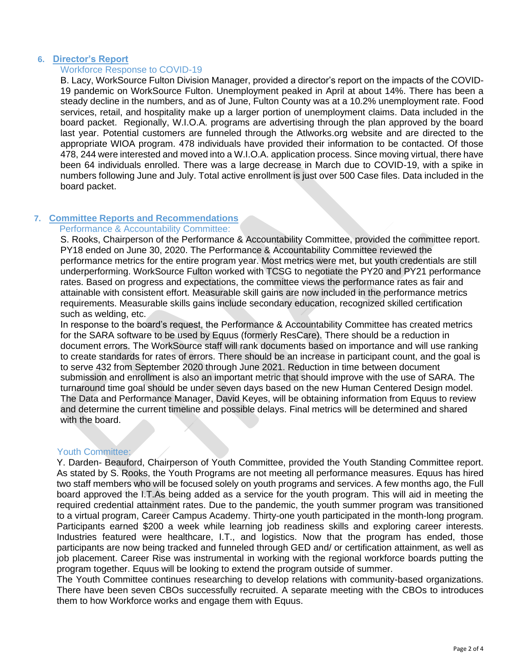## **6. Director's Report**

# Workforce Response to COVID-19

B. Lacy, WorkSource Fulton Division Manager, provided a director's report on the impacts of the COVID-19 pandemic on WorkSource Fulton. Unemployment peaked in April at about 14%. There has been a steady decline in the numbers, and as of June, Fulton County was at a 10.2% unemployment rate. Food services, retail, and hospitality make up a larger portion of unemployment claims. Data included in the board packet. Regionally, W.I.O.A. programs are advertising through the plan approved by the board last year. Potential customers are funneled through the Atlworks.org website and are directed to the appropriate WIOA program. 478 individuals have provided their information to be contacted. Of those 478, 244 were interested and moved into a W.I.O.A. application process. Since moving virtual, there have been 64 individuals enrolled. There was a large decrease in March due to COVID-19, with a spike in numbers following June and July. Total active enrollment is just over 500 Case files. Data included in the board packet.

# **7. Committee Reports and Recommendations**

## Performance & Accountability Committee:

S. Rooks, Chairperson of the Performance & Accountability Committee, provided the committee report. PY18 ended on June 30, 2020. The Performance & Accountability Committee reviewed the performance metrics for the entire program year. Most metrics were met, but youth credentials are still underperforming. WorkSource Fulton worked with TCSG to negotiate the PY20 and PY21 performance rates. Based on progress and expectations, the committee views the performance rates as fair and attainable with consistent effort. Measurable skill gains are now included in the performance metrics requirements. Measurable skills gains include secondary education, recognized skilled certification such as welding, etc.

In response to the board's request, the Performance & Accountability Committee has created metrics for the SARA software to be used by Equus (formerly ResCare). There should be a reduction in document errors. The WorkSource staff will rank documents based on importance and will use ranking to create standards for rates of errors. There should be an increase in participant count, and the goal is to serve 432 from September 2020 through June 2021. Reduction in time between document submission and enrollment is also an important metric that should improve with the use of SARA. The turnaround time goal should be under seven days based on the new Human Centered Design model. The Data and Performance Manager, David Keyes, will be obtaining information from Equus to review and determine the current timeline and possible delays. Final metrics will be determined and shared with the board.

## Youth Committee:

Y. Darden- Beauford, Chairperson of Youth Committee, provided the Youth Standing Committee report. As stated by S. Rooks, the Youth Programs are not meeting all performance measures. Equus has hired two staff members who will be focused solely on youth programs and services. A few months ago, the Full board approved the I.T.As being added as a service for the youth program. This will aid in meeting the required credential attainment rates. Due to the pandemic, the youth summer program was transitioned to a virtual program, Career Campus Academy. Thirty-one youth participated in the month-long program. Participants earned \$200 a week while learning job readiness skills and exploring career interests. Industries featured were healthcare, I.T., and logistics. Now that the program has ended, those participants are now being tracked and funneled through GED and/ or certification attainment, as well as job placement. Career Rise was instrumental in working with the regional workforce boards putting the program together. Equus will be looking to extend the program outside of summer.

The Youth Committee continues researching to develop relations with community-based organizations. There have been seven CBOs successfully recruited. A separate meeting with the CBOs to introduces them to how Workforce works and engage them with Equus.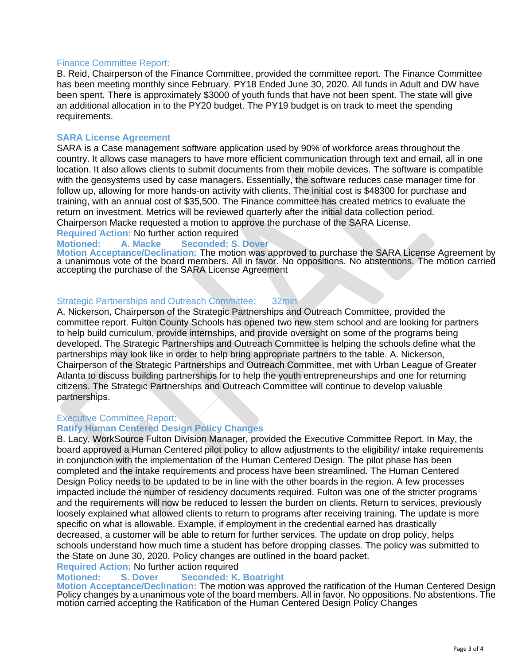# Finance Committee Report:

B. Reid, Chairperson of the Finance Committee, provided the committee report. The Finance Committee has been meeting monthly since February. PY18 Ended June 30, 2020. All funds in Adult and DW have been spent. There is approximately \$3000 of youth funds that have not been spent. The state will give an additional allocation in to the PY20 budget. The PY19 budget is on track to meet the spending requirements.

## **SARA License Agreement**

SARA is a Case management software application used by 90% of workforce areas throughout the country. It allows case managers to have more efficient communication through text and email, all in one location. It also allows clients to submit documents from their mobile devices. The software is compatible with the geosystems used by case managers. Essentially, the software reduces case manager time for follow up, allowing for more hands-on activity with clients. The initial cost is \$48300 for purchase and training, with an annual cost of \$35,500. The Finance committee has created metrics to evaluate the return on investment. Metrics will be reviewed quarterly after the initial data collection period. Chairperson Macke requested a motion to approve the purchase of the SARA License.

**Required Action:** No further action required

## **Motioned: A. Macke Seconded: S. Dover**

**Motion Acceptance/Declination:** The motion was approved to purchase the SARA License Agreement by a unanimous vote of the board members. All in favor. No oppositions. No abstentions. The motion carried accepting the purchase of the SARA License Agreement

#### Strategic Partnerships and Outreach Committee: 32min

A. Nickerson, Chairperson of the Strategic Partnerships and Outreach Committee, provided the committee report. Fulton County Schools has opened two new stem school and are looking for partners to help build curriculum, provide internships, and provide oversight on some of the programs being developed. The Strategic Partnerships and Outreach Committee is helping the schools define what the partnerships may look like in order to help bring appropriate partners to the table. A. Nickerson, Chairperson of the Strategic Partnerships and Outreach Committee, met with Urban League of Greater Atlanta to discuss building partnerships for to help the youth entrepreneurships and one for returning citizens. The Strategic Partnerships and Outreach Committee will continue to develop valuable partnerships.

## Executive Committee Report:

## **Ratify Human Centered Design Policy Changes**

B. Lacy, WorkSource Fulton Division Manager, provided the Executive Committee Report. In May, the board approved a Human Centered pilot policy to allow adjustments to the eligibility/ intake requirements in conjunction with the implementation of the Human Centered Design. The pilot phase has been completed and the intake requirements and process have been streamlined. The Human Centered Design Policy needs to be updated to be in line with the other boards in the region. A few processes impacted include the number of residency documents required. Fulton was one of the stricter programs and the requirements will now be reduced to lessen the burden on clients. Return to services, previously loosely explained what allowed clients to return to programs after receiving training. The update is more specific on what is allowable. Example, if employment in the credential earned has drastically decreased, a customer will be able to return for further services. The update on drop policy, helps schools understand how much time a student has before dropping classes. The policy was submitted to the State on June 30, 2020. Policy changes are outlined in the board packet.

**Required Action:** No further action required

# **Motioned: S. Dover Seconded: K. Boatright**

**Motion Acceptance/Declination:** The motion was approved the ratification of the Human Centered Design Policy changes by a unanimous vote of the board members. All in favor. No oppositions. No abstentions. The motion carried accepting the Ratification of the Human Centered Design Policy Changes